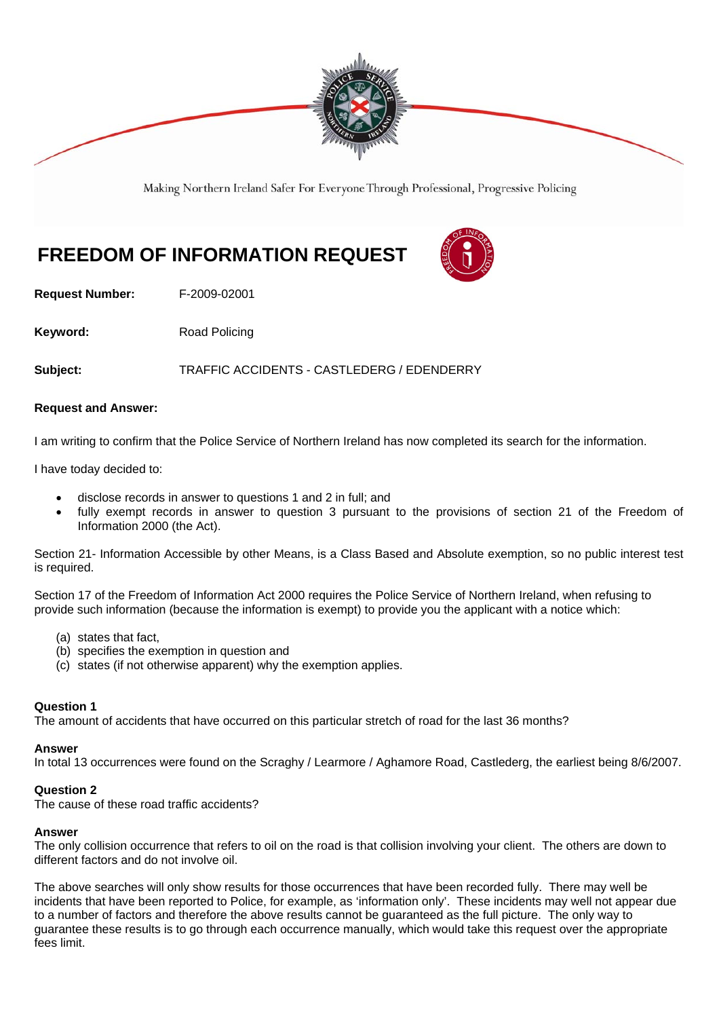

Making Northern Ireland Safer For Everyone Through Professional, Progressive Policing

# **FREEDOM OF INFORMATION REQUEST**



**Request Number:** F-2009-02001

**Keyword:** Road Policing

**Subject:** TRAFFIC ACCIDENTS - CASTLEDERG / EDENDERRY

### **Request and Answer:**

I am writing to confirm that the Police Service of Northern Ireland has now completed its search for the information.

I have today decided to:

- disclose records in answer to questions 1 and 2 in full; and
- fully exempt records in answer to question 3 pursuant to the provisions of section 21 of the Freedom of Information 2000 (the Act).

Section 21- Information Accessible by other Means, is a Class Based and Absolute exemption, so no public interest test is required.

Section 17 of the Freedom of Information Act 2000 requires the Police Service of Northern Ireland, when refusing to provide such information (because the information is exempt) to provide you the applicant with a notice which:

- (a) states that fact,
- (b) specifies the exemption in question and
- (c) states (if not otherwise apparent) why the exemption applies.

# **Question 1**

The amount of accidents that have occurred on this particular stretch of road for the last 36 months?

### **Answer**

In total 13 occurrences were found on the Scraghy / Learmore / Aghamore Road, Castlederg, the earliest being 8/6/2007.

### **Question 2**

The cause of these road traffic accidents?

### **Answer**

The only collision occurrence that refers to oil on the road is that collision involving your client. The others are down to different factors and do not involve oil.

The above searches will only show results for those occurrences that have been recorded fully. There may well be incidents that have been reported to Police, for example, as 'information only'. These incidents may well not appear due to a number of factors and therefore the above results cannot be guaranteed as the full picture. The only way to guarantee these results is to go through each occurrence manually, which would take this request over the appropriate fees limit.